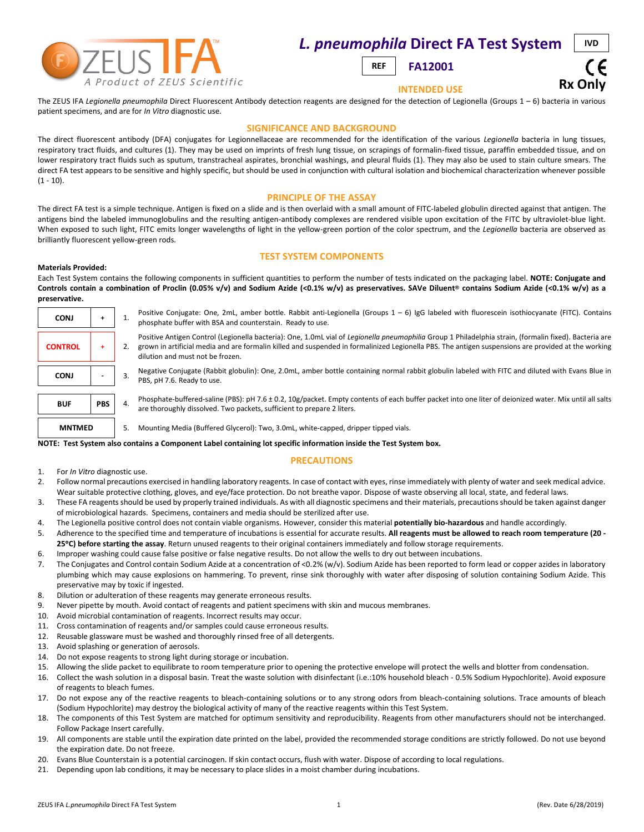

# *L. pneumophila* **Direct FA Test System**

| REF | <b>FA12001</b> |
|-----|----------------|
|     |                |



**IVD**

#### **INTENDED USE**

The ZEUS IFA *Legionella pneumophila* Direct Fluorescent Antibody detection reagents are designed for the detection of Legionella (Groups 1 – 6) bacteria in various patient specimens, and are for *In Vitro* diagnostic use.

## **SIGNIFICANCE AND BACKGROUND**

The direct fluorescent antibody (DFA) conjugates for Legionnellaceae are recommended for the identification of the various *Legionella* bacteria in lung tissues, respiratory tract fluids, and cultures (1). They may be used on imprints of fresh lung tissue, on scrapings of formalin-fixed tissue, paraffin embedded tissue, and on lower respiratory tract fluids such as sputum, transtracheal aspirates, bronchial washings, and pleural fluids (1). They may also be used to stain culture smears. The direct FA test appears to be sensitive and highly specific, but should be used in conjunction with cultural isolation and biochemical characterization whenever possible  $(1 - 10)$ .

## **PRINCIPLE OF THE ASSAY**

The direct FA test is a simple technique. Antigen is fixed on a slide and is then overlaid with a small amount of FITC-labeled globulin directed against that antigen. The antigens bind the labeled immunoglobulins and the resulting antigen-antibody complexes are rendered visible upon excitation of the FITC by ultraviolet-blue light. When exposed to such light, FITC emits longer wavelengths of light in the yellow-green portion of the color spectrum, and the *Legionella* bacteria are observed as brilliantly fluorescent yellow-green rods.

# **TEST SYSTEM COMPONENTS**

#### **Materials Provided:**

Each Test System contains the following components in sufficient quantities to perform the number of tests indicated on the packaging label. **NOTE: Conjugate and Controls contain a combination of Proclin (0.05% v/v) and Sodium Azide (<0.1% w/v) as preservatives. SAVe Diluent® contains Sodium Azide (<0.1% w/v) as a preservative.**

| <b>CONJ</b>    | $\ddot{}$  | Positive Conjugate: One, 2mL, amber bottle. Rabbit anti-Legionella (Groups $1 - 6$ ) IgG labeled with fluorescein isothiocyanate (FITC). Contains<br>phosphate buffer with BSA and counterstain. Ready to use.                                                                                                                                    |
|----------------|------------|---------------------------------------------------------------------------------------------------------------------------------------------------------------------------------------------------------------------------------------------------------------------------------------------------------------------------------------------------|
| <b>CONTROL</b> |            | Positive Antigen Control (Legionella bacteria): One, 1.0mL vial of Legionella pneumophilia Group 1 Philadelphia strain, (formalin fixed). Bacteria are<br>grown in artificial media and are formalin killed and suspended in formalinized Legionella PBS. The antigen suspensions are provided at the working<br>dilution and must not be frozen. |
| <b>CONJ</b>    |            | Negative Conjugate (Rabbit globulin): One, 2.0mL, amber bottle containing normal rabbit globulin labeled with FITC and diluted with Evans Blue in<br>PBS, pH 7.6. Ready to use.                                                                                                                                                                   |
| <b>BUF</b>     | <b>PBS</b> | Phosphate-buffered-saline (PBS): pH 7.6 ± 0.2, 10g/packet. Empty contents of each buffer packet into one liter of deionized water. Mix until all salts<br>are thoroughly dissolved. Two packets, sufficient to prepare 2 liters.                                                                                                                  |
| <b>MNTMED</b>  |            | Mounting Media (Buffered Glycerol): Two, 3.0mL, white-capped, dripper tipped vials.                                                                                                                                                                                                                                                               |

#### **NOTE: Test System also contains a Component Label containing lot specific information inside the Test System box.**

# **PRECAUTIONS**

- 1. For *In Vitro* diagnostic use.
- 2. Follow normal precautions exercised in handling laboratory reagents. In case of contact with eyes, rinse immediately with plenty of water and seek medical advice. Wear suitable protective clothing, gloves, and eye/face protection. Do not breathe vapor. Dispose of waste observing all local, state, and federal laws.
- 3. These FA reagents should be used by properly trained individuals. As with all diagnostic specimens and their materials, precautions should be taken against danger of microbiological hazards. Specimens, containers and media should be sterilized after use.
- 4. The Legionella positive control does not contain viable organisms. However, consider this material **potentially bio-hazardous** and handle accordingly.
- 5. Adherence to the specified time and temperature of incubations is essential for accurate results. **All reagents must be allowed to reach room temperature (20 - 25C) before starting the assay**. Return unused reagents to their original containers immediately and follow storage requirements.
- 6. Improper washing could cause false positive or false negative results. Do not allow the wells to dry out between incubations.
- 7. The Conjugates and Control contain Sodium Azide at a concentration of <0.2% (w/v). Sodium Azide has been reported to form lead or copper azides in laboratory plumbing which may cause explosions on hammering. To prevent, rinse sink thoroughly with water after disposing of solution containing Sodium Azide. This preservative may by toxic if ingested.
- 8. Dilution or adulteration of these reagents may generate erroneous results.
- 9. Never pipette by mouth. Avoid contact of reagents and patient specimens with skin and mucous membranes.
- 10. Avoid microbial contamination of reagents. Incorrect results may occur.
- 11. Cross contamination of reagents and/or samples could cause erroneous results.
- 12. Reusable glassware must be washed and thoroughly rinsed free of all detergents.
- 13. Avoid splashing or generation of aerosols.
- 14. Do not expose reagents to strong light during storage or incubation.
- 15. Allowing the slide packet to equilibrate to room temperature prior to opening the protective envelope will protect the wells and blotter from condensation.
- 16. Collect the wash solution in a disposal basin. Treat the waste solution with disinfectant (i.e.:10% household bleach 0.5% Sodium Hypochlorite). Avoid exposure of reagents to bleach fumes.
- 17. Do not expose any of the reactive reagents to bleach-containing solutions or to any strong odors from bleach-containing solutions. Trace amounts of bleach (Sodium Hypochlorite) may destroy the biological activity of many of the reactive reagents within this Test System.
- 18. The components of this Test System are matched for optimum sensitivity and reproducibility. Reagents from other manufacturers should not be interchanged. Follow Package Insert carefully.
- 19. All components are stable until the expiration date printed on the label, provided the recommended storage conditions are strictly followed. Do not use beyond the expiration date. Do not freeze.
- 20. Evans Blue Counterstain is a potential carcinogen. If skin contact occurs, flush with water. Dispose of according to local regulations.
- 21. Depending upon lab conditions, it may be necessary to place slides in a moist chamber during incubations.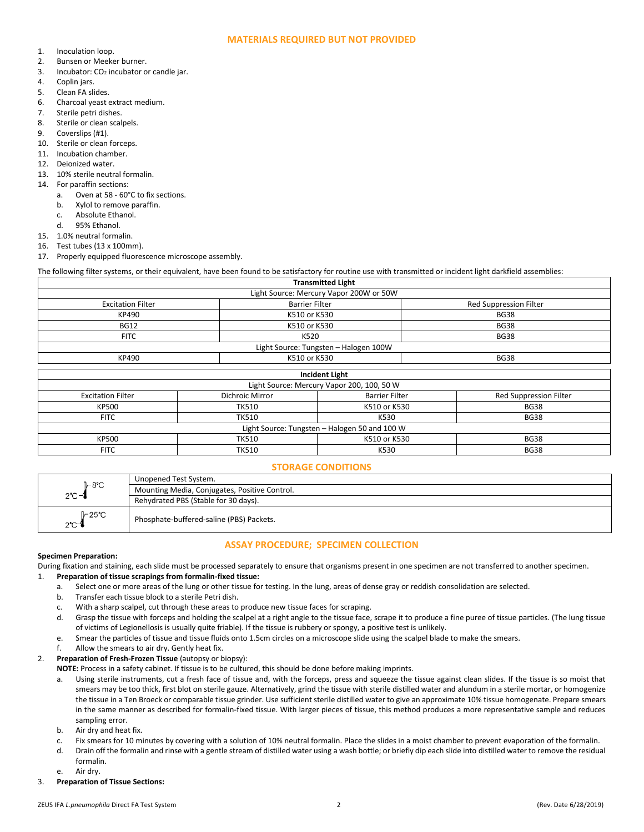## **MATERIALS REQUIRED BUT NOT PROVIDED**

- 1. Inoculation loop.
- 2. Bunsen or Meeker burner.
- 3. Incubator:  $CO<sub>2</sub>$  incubator or candle jar.
- 4. Coplin jars.
- 5. Clean FA slides.
- 6. Charcoal yeast extract medium.
- 7. Sterile petri dishes.
- 8. Sterile or clean scalpels.
- 9. Coverslips (#1).
- 10. Sterile or clean forceps.
- 11. Incubation chamber.
- 12. Deionized water.
- 13. 10% sterile neutral formalin.
- 14. For paraffin sections:
	- a. Oven at 58 60°C to fix sections.
	- b. Xylol to remove paraffin.
	- c. Absolute Ethanol.
	- d. 95% Ethanol.
- 15. 1.0% neutral formalin.
- 16. Test tubes (13 x 100mm).
- 17. Properly equipped fluorescence microscope assembly.

The following filter systems, or their equivalent, have been found to be satisfactory for routine use with transmitted or incident light darkfield assemblies:

| <b>Transmitted Light</b>                      |                              |                       |                        |  |  |  |
|-----------------------------------------------|------------------------------|-----------------------|------------------------|--|--|--|
| Light Source: Mercury Vapor 200W or 50W       |                              |                       |                        |  |  |  |
| <b>Excitation Filter</b>                      | <b>Barrier Filter</b>        |                       | Red Suppression Filter |  |  |  |
| KP490                                         | K510 or K530                 |                       | <b>BG38</b>            |  |  |  |
| <b>BG12</b>                                   | K510 or K530                 |                       | <b>BG38</b>            |  |  |  |
| <b>FITC</b>                                   | K520                         |                       | <b>BG38</b>            |  |  |  |
| Light Source: Tungsten - Halogen 100W         |                              |                       |                        |  |  |  |
| KP490                                         | K510 or K530                 |                       | <b>BG38</b>            |  |  |  |
|                                               |                              |                       |                        |  |  |  |
| <b>Incident Light</b>                         |                              |                       |                        |  |  |  |
| Light Source: Mercury Vapor 200, 100, 50 W    |                              |                       |                        |  |  |  |
| <b>Excitation Filter</b>                      | Dichroic Mirror              | <b>Barrier Filter</b> | Red Suppression Filter |  |  |  |
| KP500                                         | <b>TK510</b>                 |                       | <b>BG38</b>            |  |  |  |
| <b>FITC</b>                                   | <b>TK510</b>                 |                       | <b>BG38</b>            |  |  |  |
| Light Source: Tungsten - Halogen 50 and 100 W |                              |                       |                        |  |  |  |
| <b>KP500</b>                                  | <b>TK510</b><br>K510 or K530 |                       | <b>BG38</b>            |  |  |  |
| <b>FITC</b><br>TK510                          |                              | K530                  | <b>BG38</b>            |  |  |  |

# **STORAGE CONDITIONS**

| Ռ-8℃<br>$2^{\circ}$ C $-4$                | Unopened Test System.                         |
|-------------------------------------------|-----------------------------------------------|
|                                           | Mounting Media, Conjugates, Positive Control. |
|                                           | Rehydrated PBS (Stable for 30 days).          |
| $\triangleright$ 25 °C<br>$2^{\circ}$ C-4 | Phosphate-buffered-saline (PBS) Packets.      |

# **ASSAY PROCEDURE; SPECIMEN COLLECTION**

## **Specimen Preparation:**

During fixation and staining, each slide must be processed separately to ensure that organisms present in one specimen are not transferred to another specimen.

- 1. **Preparation of tissue scrapings from formalin-fixed tissue:**
	- a. Select one or more areas of the lung or other tissue for testing. In the lung, areas of dense gray or reddish consolidation are selected.
	- b. Transfer each tissue block to a sterile Petri dish.
	- c. With a sharp scalpel, cut through these areas to produce new tissue faces for scraping.
	- d. Grasp the tissue with forceps and holding the scalpel at a right angle to the tissue face, scrape it to produce a fine puree of tissue particles. (The lung tissue of victims of Legionellosis is usually quite friable). If the tissue is rubbery or spongy, a positive test is unlikely.
	- e. Smear the particles of tissue and tissue fluids onto 1.5cm circles on a microscope slide using the scalpel blade to make the smears.
	- f. Allow the smears to air dry. Gently heat fix.

## 2. **Preparation of Fresh-Frozen Tissue** (autopsy or biopsy):

- **NOTE:** Process in a safety cabinet. If tissue is to be cultured, this should be done before making imprints.
	- a. Using sterile instruments, cut a fresh face of tissue and, with the forceps, press and squeeze the tissue against clean slides. If the tissue is so moist that smears may be too thick, first blot on sterile gauze. Alternatively, grind the tissue with sterile distilled water and alundum in a sterile mortar, or homogenize the tissue in a Ten Broeck or comparable tissue grinder. Use sufficient sterile distilled water to give an approximate 10% tissue homogenate. Prepare smears in the same manner as described for formalin-fixed tissue. With larger pieces of tissue, this method produces a more representative sample and reduces sampling error.
	- b. Air dry and heat fix.
	- c. Fix smears for 10 minutes by covering with a solution of 10% neutral formalin. Place the slides in a moist chamber to prevent evaporation of the formalin.
	- d. Drain off the formalin and rinse with a gentle stream of distilled water using a wash bottle; or briefly dip each slide into distilled water to remove the residual formalin.
	- e. Air dry.
- 3. **Preparation of Tissue Sections:**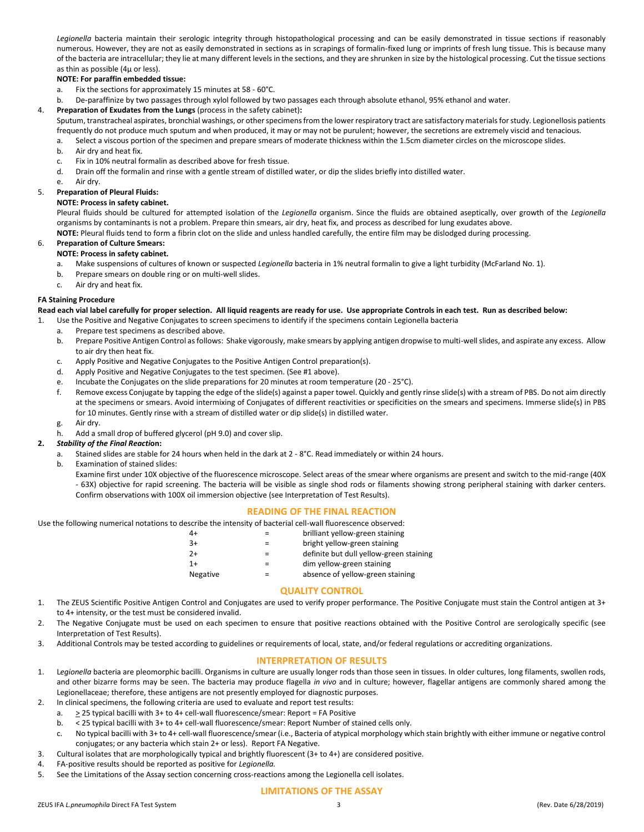*Legionella* bacteria maintain their serologic integrity through histopathological processing and can be easily demonstrated in tissue sections if reasonably numerous. However, they are not as easily demonstrated in sections as in scrapings of formalin-fixed lung or imprints of fresh lung tissue. This is because many of the bacteria are intracellular; they lie at many different levels in the sections, and they are shrunken in size by the histological processing. Cut the tissue sections as thin as possible ( $4\mu$  or less).

## **NOTE: For paraffin embedded tissue:**

- a. Fix the sections for approximately 15 minutes at 58 60°C.
- b. De-paraffinize by two passages through xylol followed by two passages each through absolute ethanol, 95% ethanol and water.
- 4. **Preparation of Exudates from the Lungs** (process in the safety cabinet)**:**

Sputum, transtracheal aspirates, bronchial washings, or other specimens from the lower respiratory tract are satisfactory materials for study. Legionellosis patients frequently do not produce much sputum and when produced, it may or may not be purulent; however, the secretions are extremely viscid and tenacious.

- a. Select a viscous portion of the specimen and prepare smears of moderate thickness within the 1.5cm diameter circles on the microscope slides.
- b. Air dry and heat fix.
- c. Fix in 10% neutral formalin as described above for fresh tissue.
- d. Drain off the formalin and rinse with a gentle stream of distilled water, or dip the slides briefly into distilled water.
- e. Air dry.

# 5. **Preparation of Pleural Fluids:**

## **NOTE: Process in safety cabinet.**

Pleural fluids should be cultured for attempted isolation of the *Legionella* organism. Since the fluids are obtained aseptically, over growth of the *Legionella* organisms by contaminants is not a problem. Prepare thin smears, air dry, heat fix, and process as described for lung exudates above.

**NOTE:** Pleural fluids tend to form a fibrin clot on the slide and unless handled carefully, the entire film may be dislodged during processing.

#### 6. **Preparation of Culture Smears: NOTE: Process in safety cabinet***.*

- a. Make suspensions of cultures of known or suspected *Legionella* bacteria in 1% neutral formalin to give a light turbidity (McFarland No. 1).
- b. Prepare smears on double ring or on multi-well slides.
- c. Air dry and heat fix.

## **FA Staining Procedure**

#### **Read each vial label carefully for proper selection. All liquid reagents are ready for use. Use appropriate Controls in each test. Run as described below:**

1. Use the Positive and Negative Conjugates to screen specimens to identify if the specimens contain Legionella bacteria

- a. Prepare test specimens as described above.
- b. Prepare Positive Antigen Control as follows: Shake vigorously, make smears by applying antigen dropwise to multi-well slides, and aspirate any excess. Allow to air dry then heat fix.
- c. Apply Positive and Negative Conjugates to the Positive Antigen Control preparation(s).
- d. Apply Positive and Negative Conjugates to the test specimen. (See #1 above).
- e. Incubate the Conjugates on the slide preparations for 20 minutes at room temperature (20 25°C).
- f. Remove excess Conjugate by tapping the edge of the slide(s) against a paper towel. Quickly and gently rinse slide(s) with a stream of PBS. Do not aim directly at the specimens or smears. Avoid intermixing of Conjugates of different reactivities or specificities on the smears and specimens. Immerse slide(s) in PBS for 10 minutes. Gently rinse with a stream of distilled water or dip slide(s) in distilled water.
- g. Air dry.
- h. Add a small drop of buffered glycerol (pH 9.0) and cover slip.

## **2.** *Stability of the Final Reacti***on:**

- a. Stained slides are stable for 24 hours when held in the dark at 2 8°C. Read immediately or within 24 hours.
- b. Examination of stained slides:

Examine first under 10X objective of the fluorescence microscope. Select areas of the smear where organisms are present and switch to the mid-range (40X - 63X) objective for rapid screening. The bacteria will be visible as single shod rods or filaments showing strong peripheral staining with darker centers. Confirm observations with 100X oil immersion objective (see Interpretation of Test Results).

#### **READING OF THE FINAL REACTION**

Use the following numerical notations to describe the intensity of bacterial cell-wall fluorescence observed:

| 4+       | = | brilliant yellow-green staining         |
|----------|---|-----------------------------------------|
| 3+       | = | bright yellow-green staining            |
| $2+$     | = | definite but dull yellow-green staining |
| $1+$     | = | dim yellow-green staining               |
| Negative | = | absence of yellow-green staining        |
|          |   |                                         |

#### **QUALITY CONTROL**

- 1. The ZEUS Scientific Positive Antigen Control and Conjugates are used to verify proper performance. The Positive Conjugate must stain the Control antigen at 3+ to 4+ intensity, or the test must be considered invalid.
- 2. The Negative Conjugate must be used on each specimen to ensure that positive reactions obtained with the Positive Control are serologically specific (see Interpretation of Test Results).
- 3. Additional Controls may be tested according to guidelines or requirements of local, state, and/or federal regulations or accrediting organizations.

#### **INTERPRETATION OF RESULTS**

- 1. L*egionella* bacteria are pleomorphic bacilli. Organisms in culture are usually longer rods than those seen in tissues. In older cultures, long filaments, swollen rods, and other bizarre forms may be seen. The bacteria may produce flagella in vivo and in culture; however, flagellar antigens are commonly shared among the Legionellaceae; therefore, these antigens are not presently employed for diagnostic purposes.
- 2. In clinical specimens, the following criteria are used to evaluate and report test results:
	- a. > 25 typical bacilli with 3+ to 4+ cell-wall fluorescence/smear: Report = FA Positive
	- b. < 25 typical bacilli with 3+ to 4+ cell-wall fluorescence/smear: Report Number of stained cells only.
	- c. No typical bacilli with 3+ to 4+ cell-wall fluorescence/smear (i.e., Bacteria of atypical morphology which stain brightly with either immune or negative control conjugates; or any bacteria which stain 2+ or less). Report FA Negative.
- 3. Cultural isolates that are morphologically typical and brightly fluorescent (3+ to 4+) are considered positive.
- 4. FA-positive results should be reported as positive for *Legionella.*
- 5. See the Limitations of the Assay section concerning cross-reactions among the Legionella cell isolates.

# **LIMITATIONS OF THE ASSAY**